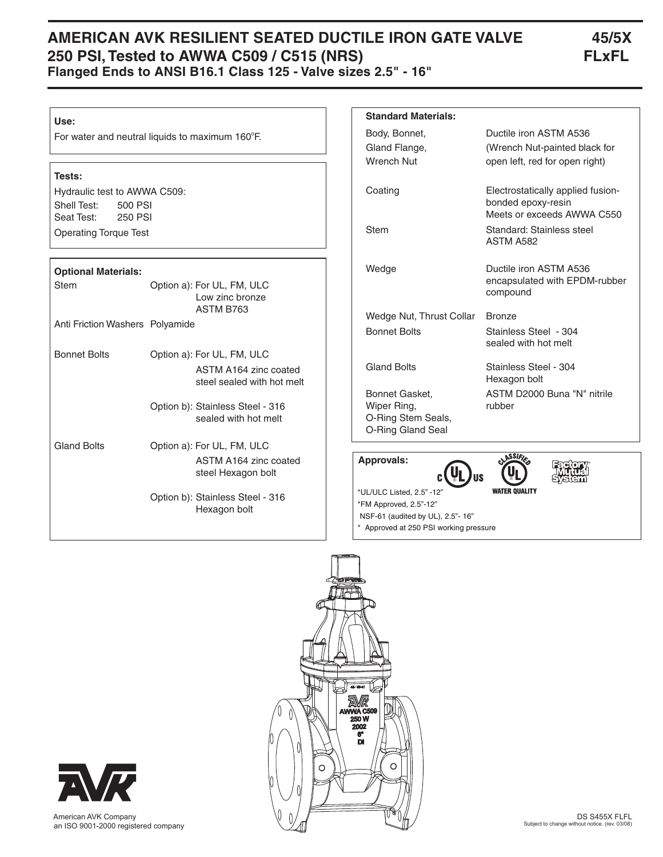# **AMERICAN AVK RESILIENT SEATED DUCTILE IRON GATE VALVE 45/5X 250 PSI, Tested to AWWA C509 / C515 (NRS) FLxFL Flanged Ends to ANSI B16.1 Class 125 - Valve sizes 2.5" - 16"**

#### **Use:**

For water and neutral liquids to maximum 160°F.

#### **Tests:**

Hydraulic test to AWWA C509: Shell Test: 500 PSI Seat Test: 250 PSI Operating Torque Test

### **Optional Materials:**

| opuonai matonaioi               |                                                                                   |
|---------------------------------|-----------------------------------------------------------------------------------|
| Stem                            | Option a): For UL, FM, ULC<br>Low zinc bronze<br>ASTM B763                        |
| Anti Friction Washers Polyamide |                                                                                   |
| <b>Bonnet Bolts</b>             | Option a): For UL, FM, ULC<br>ASTM A164 zinc coated<br>steel sealed with hot melt |
|                                 | Option b): Stainless Steel - 316<br>sealed with hot melt                          |
| <b>Gland Bolts</b>              | Option a): For UL, FM, ULC<br>ASTM A164 zinc coated<br>steel Hexagon bolt         |
|                                 | Option b): Stainless Steel - 316<br>Hexagon bolt                                  |

### **Approvals: Standard Materials:** Body, Bonnet, Ductile iron ASTM A536 Gland Flange, (Wrench Nut-painted black for Wrench Nut open left, red for open right) Coating Electrostatically applied fusion bonded epoxy-resin Meets or exceeds AWWA C550 Stem Standard: Stainless steel ASTM A582 Wedge Ductile iron ASTM A536 encapsulated with EPDM-rubber compound Wedge Nut, Thrust Collar Bronze Bonnet Bolts Stainless Steel - 304 sealed with hot melt Gland Bolts Stainless Steel - 304 Hexagon bolt Bonnet Gasket, ASTM D2000 Buna "N" nitrile Wiper Ring, The Prubber O-Ring Stem Seals, O-Ring Gland Seal

ΠŚ \*UL/ULC Listed, 2.5" -12" \*FM Approved, 2.5"-12" NSF-61 (audited by UL), 2.5"- 16" \* Approved at 250 PSI working pressure

 American AVK Company an ISO 9001-2000 registered company